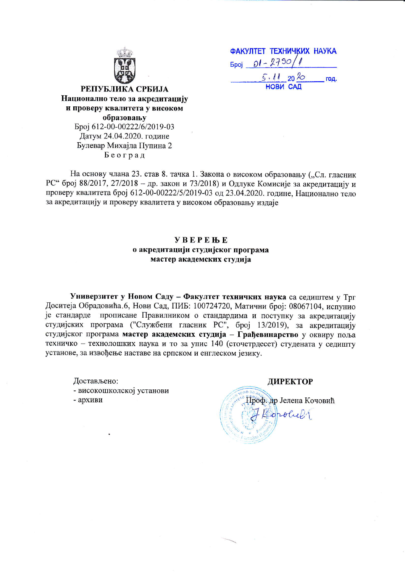| ФАКУЛТЕТ ТЕХНИЧКИХ НАУКА |  |
|--------------------------|--|
| $5\pi$ poj 01 - 2790/1   |  |
| $5.1120\%$<br>год.       |  |
| <b>НОВИ САД</b>          |  |

РЕПУБЛИКА СРБИЈА Национално тело за акредитацију и проверу квалитета у високом oбразовању Epoj 612-00-00222/6/2019-03 Датум 24.04.2020. године Булевар Михајла Пупина 2 Eeorpa4

На основу члана 23. став 8. тачка 1. Закона о високом образовању ("Сл. гласник РС" број 88/2017, 27/2018 - др. закон и 73/2018) и Одлуке Комисије за акредитацију и проверу квалитета број 612-00-00222/5/2019-03 од 23.04.2020. године, Национално тело за акредитацију и проверу квалитета у високом образовању издаје

## YBEPEBE о акредитацији студијског програма Macrep axaaeMcxux cryquja

Универзитет у Новом Саду - Факултет техничких наука са седиштем у Трг Доситеја Обрадовића.6, Нови Сад, ПИБ: 100724720, Матични број: 08067104, испунио је стандарде прописане Правилником о стандардима и поступку за акредитацију студијских програма ("Службени гласник РС", број 13/2019), за акредитацију студијског програма мастер академских студија - Грађевинарство у оквиру поља техничко - технолошких наука и то за упис 140 (сточетрдесет) студената у седишту установе, за извођење наставе на српском и енглеском језику.

Достављено: - високошколској установи -  $a$ рхиви

ДИРЕКТОР Проф. др Јелена Кочовић  $\mathbb{E}_{\text{orb}}$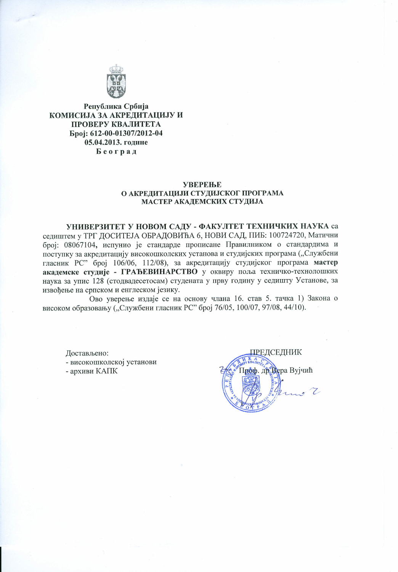

Република Србија КОМИСИЈА ЗА АКРЕДИТАЦИЈУ И ПРОВЕРУ КВАЛИТЕТА Epoj: 612-00-01307/2012-04 05.04.2013. године Београд

#### **УВЕРЕЊЕ** О АКРЕДИТАЦИЈИ СТУДИЈСКОГ ПРОГРАМА МАСТЕР АКАДЕМСКИХ СТУДИЈА

УНИВЕРЗИТЕТ У НОВОМ САДУ - ФАКУЛТЕТ ТЕХНИЧКИХ НАУКА са седиштем у ТРГ ДОСИТЕЈА ОБРАДОВИЋА 6, НОВИ САД, ПИБ: 100724720, Матични број: 08067104, испунио је стандарде прописане Правилником о стандардима и поступку за акредитацију високошколских установа и студијских програма ("Службени гласник РС" број 106/06, 112/08), за акредитацију студијског програма мастер академске студије - ГРАЂЕВИНАРСТВО у оквиру поља техничко-технолошких наука за упис 128 (стодвадесетосам) студената у прву годину у седишту Установе, за извођење на српском и енглеском језику.

Ово уверење издаје се на основу члана 16. став 5. тачка 1) Закона о високом образовању ("Службени гласник РС" број 76/05, 100/07, 97/08, 44/10).

Достављено: - високошколској установи - архиви КАПК

**ПР**ЕДСЕДНИК Гроф. др. Вера Вујчић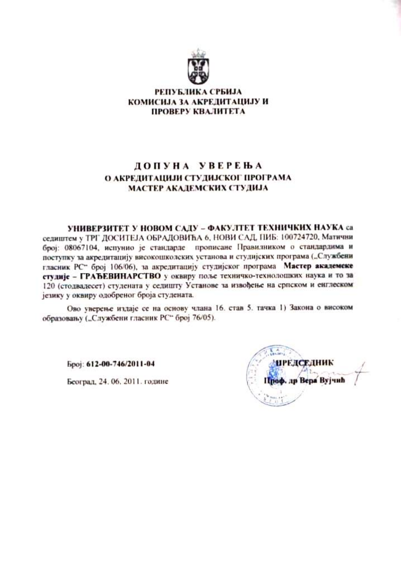

### РЕПУБЛИКА СРБИЈА КОМИСИЈА ЗА АКРЕДИТАЦИЈУ И ПРОВЕРУ КВАЛИТЕТА

# ДОПУНА УВЕРЕЊА О АКРЕДИТАЦИЈИ СТУДИЈСКОГ ПРОГРАМА МАСТЕР АКАДЕМСКИХ СТУДИЈА

УНИВЕРЗИТЕТ У НОВОМ САДУ – ФАКУЛТЕТ ТЕХНИЧКИХ НАУКА са седиштем у ТРГ ДОСИТЕЈА ОБРАДОВИЋА 6, НОВИ САД, ПИБ: 100724720, Матични број: 08067104, испунио је стандарде прописане Правилником о стандардима и поступку за акредитацију високошколских установа и студијских програма ("Службени гласник РС" број 106/06), за акредитацију студијског програма Мастер академске студије - ГРАЂЕВИНАРСТВО у оквиру поље техничко-технолошких наука и то за 120 (стодвадесет) студената у седишту Установе за извођење на српском и енглеском језику у оквиру одобреног броја студената.

Ово уверење издаје се на основу члана 16. став 5. тачка 1) Закона о високом образовању ("Службени гласник РС" број 76/05).

Број: 612-00-746/2011-04

Београд, 24. 06. 2011. године